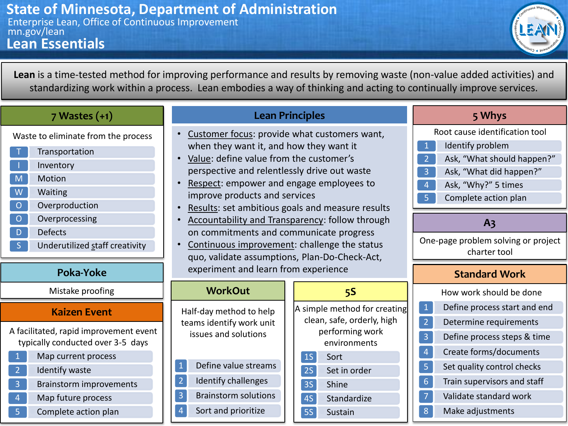

**Lean** is a time-tested method for improving performance and results by removing waste (non-value added activities) and standardizing work within a process. Lean embodies a way of thinking and acting to continually improve services.

| 7 Wastes (+1) |  |
|---------------|--|
|---------------|--|

Waste to eliminate from the process

- **Transportation Inventory**
- M **Motion**
- 
- W Waiting
- O **O** Overproduction
- O **O** Overprocessing
- D **D** Defects
- S Underutilized staff creativity

## **Poka-Yoke**

Mistake proofing

## **Kaizen Event**

A facilitated, rapid improvement event typically conducted over 3-5 days

- 1 Map current process 2 **Identify waste** 3 • Brainstorm improvements
- 4 Map future process
- 5 Complete action plan

#### **Lean Principles**

- Customer focus: provide what customers want, when they want it, and how they want it
- Value: define value from the customer's perspective and relentlessly drive out waste
- Respect: empower and engage employees to improve products and services
- Results: set ambitious goals and measure results
- Accountability and Transparency: follow through on commitments and communicate progress
- Continuous improvement: challenge the status quo, validate assumptions, Plan-Do-Check-Act, experiment and learn from experience

#### 1S Sort 2S Set in order 3S Shine **5S** A simple method for creating clean, safe, orderly, high performing work environments 1 Define value streams **WorkOut** Half-day method to help teams identify work unit issues and solutions

4S Standardize

5S • Sustain

- 2 **Identify challenges**
- 3 Brainstorm solutions
- 4 Sort and prioritize

| 5 Whys         |                                |  |  |  |  |  |  |
|----------------|--------------------------------|--|--|--|--|--|--|
|                | Root cause identification tool |  |  |  |  |  |  |
| $\mathbf 1$    | Identify problem               |  |  |  |  |  |  |
| $\overline{2}$ | Ask, "What should happen?"     |  |  |  |  |  |  |
| 3              | Ask, "What did happen?"        |  |  |  |  |  |  |
| 4              | Ask, "Why?" 5 times            |  |  |  |  |  |  |

5 Complete action plan

## **A3**

One-page problem solving or project charter tool

### **Standard Work**

|                | How work should be done      |
|----------------|------------------------------|
| $\mathbf{1}$   | Define process start and end |
| $\overline{2}$ | Determine requirements       |
| 3              | Define process steps & time  |
| 4              | Create forms/documents       |
| 5              | Set quality control checks   |
| 6              | Train supervisors and staff  |
| 7              | Validate standard work       |
| 8              | Make adjustments             |